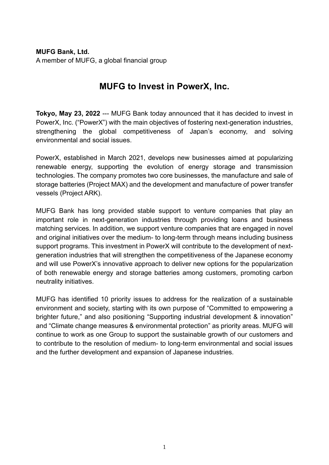**MUFG Bank, Ltd.** A member of MUFG, a global financial group

## **MUFG to Invest in PowerX, Inc.**

**Tokyo, May 23, 2022** --- MUFG Bank today announced that it has decided to invest in PowerX, Inc. ("PowerX") with the main objectives of fostering next-generation industries, strengthening the global competitiveness of Japan's economy, and solving environmental and social issues.

PowerX, established in March 2021, develops new businesses aimed at popularizing renewable energy, supporting the evolution of energy storage and transmission technologies. The company promotes two core businesses, the manufacture and sale of storage batteries (Project MAX) and the development and manufacture of power transfer vessels (Project ARK).

MUFG Bank has long provided stable support to venture companies that play an important role in next-generation industries through providing loans and business matching services. In addition, we support venture companies that are engaged in novel and original initiatives over the medium- to long-term through means including business support programs. This investment in PowerX will contribute to the development of nextgeneration industries that will strengthen the competitiveness of the Japanese economy and will use PowerX's innovative approach to deliver new options for the popularization of both renewable energy and storage batteries among customers, promoting carbon neutrality initiatives.

MUFG has identified 10 priority issues to address for the realization of a sustainable environment and society, starting with its own purpose of "Committed to empowering a brighter future," and also positioning "Supporting industrial development & innovation" and "Climate change measures & environmental protection" as priority areas. MUFG will continue to work as one Group to support the sustainable growth of our customers and to contribute to the resolution of medium- to long-term environmental and social issues and the further development and expansion of Japanese industries.